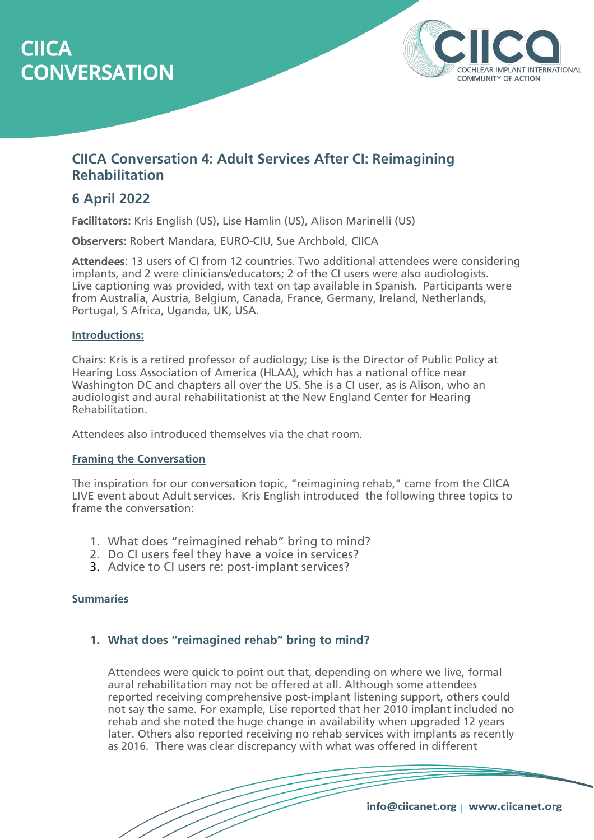# **CIICA CONVERSATION**



# **CIICA Conversation 4: Adult Services After CI: Reimagining Rehabilitation**

# **6 April 2022**

Facilitators: Kris English (US), Lise Hamlin (US), Alison Marinelli (US)

Observers: Robert Mandara, EURO-CIU, Sue Archbold, CIICA

Attendees: 13 users of CI from 12 countries. Two additional attendees were considering implants, and 2 were clinicians/educators; 2 of the CI users were also audiologists. Live captioning was provided, with text on tap available in Spanish. Participants were from Australia, Austria, Belgium, Canada, France, Germany, Ireland, Netherlands, Portugal, S Africa, Uganda, UK, USA.

#### **Introductions:**

Chairs: Kris is a retired professor of audiology; Lise is the Director of Public Policy at Hearing Loss Association of America (HLAA), which has a national office near Washington DC and chapters all over the US. She is a CI user, as is Alison, who an audiologist and aural rehabilitationist at the New England Center for Hearing Rehabilitation.

Attendees also introduced themselves via the chat room.

#### **Framing the Conversation**

The inspiration for our conversation topic, "reimagining rehab," came from the CIICA LIVE event about Adult services. Kris English introduced the following three topics to frame the conversation:

- 1. What does "reimagined rehab" bring to mind?
- 2. Do CI users feel they have a voice in services?
- 3. Advice to CI users re: post-implant services?

#### **Summaries**

# **1. What does "reimagined rehab" bring to mind?**

Attendees were quick to point out that, depending on where we live, formal aural rehabilitation may not be offered at all. Although some attendees reported receiving comprehensive post-implant listening support, others could not say the same. For example, Lise reported that her 2010 implant included no rehab and she noted the huge change in availability when upgraded 12 years later. Others also reported receiving no rehab services with implants as recently as 2016. There was clear discrepancy with what was offered in different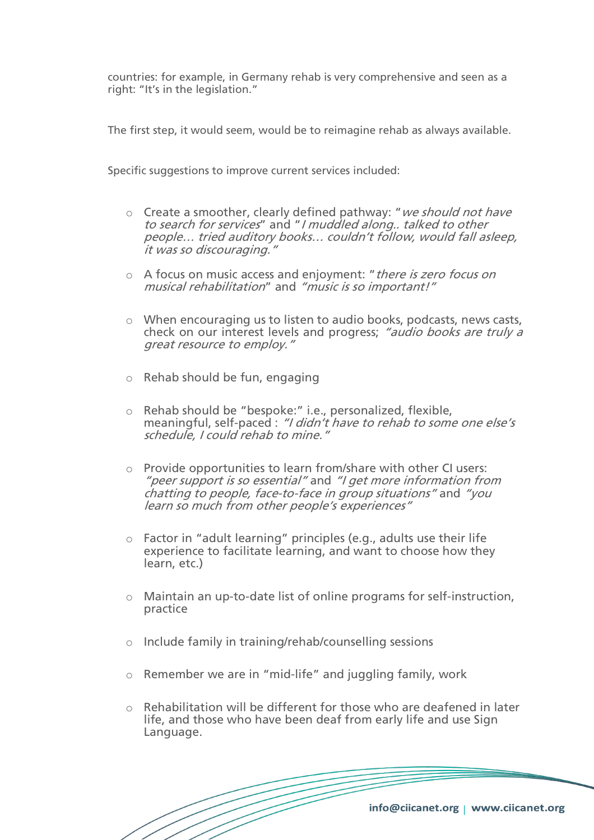countries: for example, in Germany rehab is very comprehensive and seen as a right: "It's in the legislation."

The first step, it would seem, would be to reimagine rehab as always available.

Specific suggestions to improve current services included:

- $\circ$  Create a smoother, clearly defined pathway: "we should not have to search for services" and "I muddled along.. talked to other people… tried auditory books… couldn't follow, would fall asleep, it was so discouraging."
- o A focus on music access and enjoyment: "there is zero focus on musical rehabilitation" and "music is so important!"
- o When encouraging us to listen to audio books, podcasts, news casts, check on our interest levels and progress; "audio books are truly a great resource to employ."
- o Rehab should be fun, engaging
- o Rehab should be "bespoke:" i.e., personalized, flexible, meaningful, self-paced : "I didn't have to rehab to some one else's schedule, I could rehab to mine."
- o Provide opportunities to learn from/share with other CI users: "peer support is so essential" and "I get more information from chatting to people, face-to-face in group situations" and "you learn so much from other people's experiences"
- $\circ$  Factor in "adult learning" principles (e.g., adults use their life experience to facilitate learning, and want to choose how they learn, etc.)
- o Maintain an up-to-date list of online programs for self-instruction, practice
- o Include family in training/rehab/counselling sessions
- o Remember we are in "mid-life" and juggling family, work
- o Rehabilitation will be different for those who are deafened in later life, and those who have been deaf from early life and use Sign Language.

info@ciicanet.org | www.ciicanet.org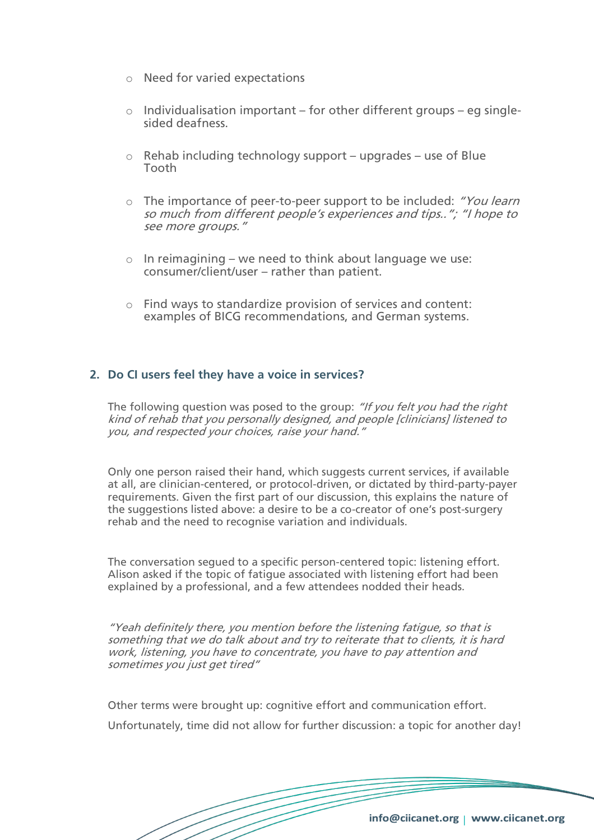- o Need for varied expectations
- $\circ$  Individualisation important for other different groups eg singlesided deafness.
- $\circ$  Rehab including technology support upgrades use of Blue Tooth
- o The importance of peer-to-peer support to be included: "You learn so much from different people's experiences and tips.."; "I hope to see more groups."
- $\circ$  In reimagining we need to think about language we use: consumer/client/user – rather than patient.
- o Find ways to standardize provision of services and content: examples of BICG recommendations, and German systems.

## **2. Do CI users feel they have a voice in services?**

The following question was posed to the group: "If you felt you had the right kind of rehab that you personally designed, and people [clinicians] listened to you, and respected your choices, raise your hand."

Only one person raised their hand, which suggests current services, if available at all, are clinician-centered, or protocol-driven, or dictated by third-party-payer requirements. Given the first part of our discussion, this explains the nature of the suggestions listed above: a desire to be a co-creator of one's post-surgery rehab and the need to recognise variation and individuals.

The conversation segued to a specific person-centered topic: listening effort. Alison asked if the topic of fatigue associated with listening effort had been explained by a professional, and a few attendees nodded their heads.

"Yeah definitely there, you mention before the listening fatigue, so that is something that we do talk about and try to reiterate that to clients, it is hard work, listening, you have to concentrate, you have to pay attention and sometimes you just get tired"

Other terms were brought up: cognitive effort and communication effort.

Unfortunately, time did not allow for further discussion: a topic for another day!